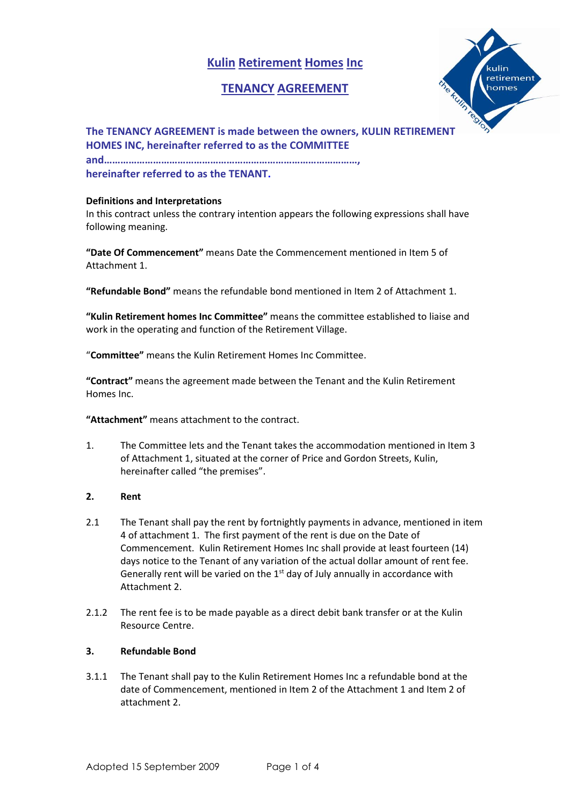# **Kulin Retirement Homes Inc**

## **TENANCY AGREEMENT**



**The TENANCY AGREEMENT is made between the owners, KULIN RETIREMENT HOMES INC, hereinafter referred to as the COMMITTEE and…………………………………………………………………………………, hereinafter referred to as the TENANT.**

## **Definitions and Interpretations**

In this contract unless the contrary intention appears the following expressions shall have following meaning.

**"Date Of Commencement"** means Date the Commencement mentioned in Item 5 of Attachment 1.

**"Refundable Bond"** means the refundable bond mentioned in Item 2 of Attachment 1.

**"Kulin Retirement homes Inc Committee"** means the committee established to liaise and work in the operating and function of the Retirement Village.

"**Committee"** means the Kulin Retirement Homes Inc Committee.

**"Contract"** means the agreement made between the Tenant and the Kulin Retirement Homes Inc.

**"Attachment"** means attachment to the contract.

1. The Committee lets and the Tenant takes the accommodation mentioned in Item 3 of Attachment 1, situated at the corner of Price and Gordon Streets, Kulin, hereinafter called "the premises".

## **2. Rent**

- 2.1 The Tenant shall pay the rent by fortnightly payments in advance, mentioned in item 4 of attachment 1. The first payment of the rent is due on the Date of Commencement. Kulin Retirement Homes Inc shall provide at least fourteen (14) days notice to the Tenant of any variation of the actual dollar amount of rent fee. Generally rent will be varied on the  $1<sup>st</sup>$  day of July annually in accordance with Attachment 2.
- 2.1.2 The rent fee is to be made payable as a direct debit bank transfer or at the Kulin Resource Centre.

## **3. Refundable Bond**

3.1.1 The Tenant shall pay to the Kulin Retirement Homes Inc a refundable bond at the date of Commencement, mentioned in Item 2 of the Attachment 1 and Item 2 of attachment 2.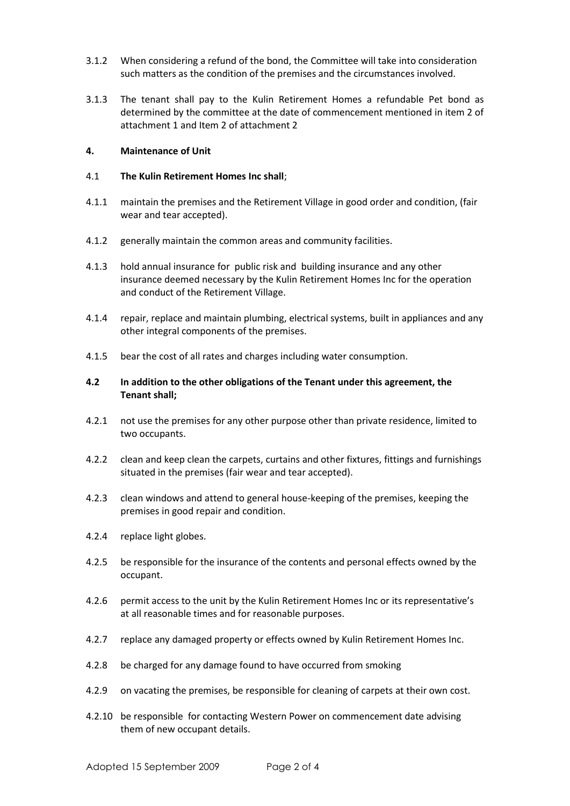- 3.1.2 When considering a refund of the bond, the Committee will take into consideration such matters as the condition of the premises and the circumstances involved.
- 3.1.3 The tenant shall pay to the Kulin Retirement Homes a refundable Pet bond as determined by the committee at the date of commencement mentioned in item 2 of attachment 1 and Item 2 of attachment 2

## **4. Maintenance of Unit**

## 4.1 **The Kulin Retirement Homes Inc shall**;

- 4.1.1 maintain the premises and the Retirement Village in good order and condition, (fair wear and tear accepted).
- 4.1.2 generally maintain the common areas and community facilities.
- 4.1.3 hold annual insurance for public risk and building insurance and any other insurance deemed necessary by the Kulin Retirement Homes Inc for the operation and conduct of the Retirement Village.
- 4.1.4 repair, replace and maintain plumbing, electrical systems, built in appliances and any other integral components of the premises.
- 4.1.5 bear the cost of all rates and charges including water consumption.
- **4.2 In addition to the other obligations of the Tenant under this agreement, the Tenant shall;**
- 4.2.1 not use the premises for any other purpose other than private residence, limited to two occupants.
- 4.2.2 clean and keep clean the carpets, curtains and other fixtures, fittings and furnishings situated in the premises (fair wear and tear accepted).
- 4.2.3 clean windows and attend to general house-keeping of the premises, keeping the premises in good repair and condition.
- 4.2.4 replace light globes.
- 4.2.5 be responsible for the insurance of the contents and personal effects owned by the occupant.
- 4.2.6 permit access to the unit by the Kulin Retirement Homes Inc or its representative's at all reasonable times and for reasonable purposes.
- 4.2.7 replace any damaged property or effects owned by Kulin Retirement Homes Inc.
- 4.2.8 be charged for any damage found to have occurred from smoking
- 4.2.9 on vacating the premises, be responsible for cleaning of carpets at their own cost.
- 4.2.10 be responsible for contacting Western Power on commencement date advising them of new occupant details.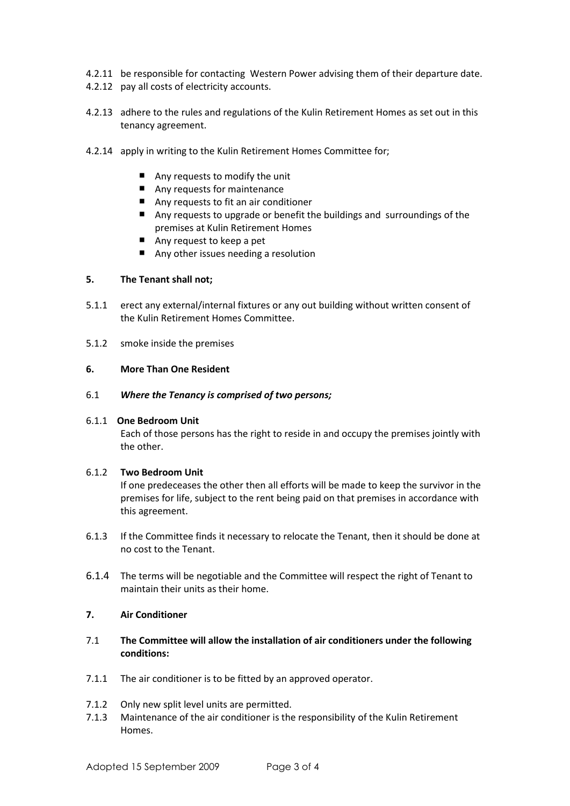- 4.2.11 be responsible for contacting Western Power advising them of their departure date.
- 4.2.12 pay all costs of electricity accounts.
- 4.2.13 adhere to the rules and regulations of the Kulin Retirement Homes as set out in this tenancy agreement.
- 4.2.14 apply in writing to the Kulin Retirement Homes Committee for;
	- Any requests to modify the unit
	- Any requests for maintenance
	- Any requests to fit an air conditioner
	- Any requests to upgrade or benefit the buildings and surroundings of the premises at Kulin Retirement Homes
	- Any request to keep a pet
	- Any other issues needing a resolution

## **5. The Tenant shall not;**

- 5.1.1 erect any external/internal fixtures or any out building without written consent of the Kulin Retirement Homes Committee.
- 5.1.2 smoke inside the premises

#### **6. More Than One Resident**

6.1 *Where the Tenancy is comprised of two persons;*

## 6.1.1 **One Bedroom Unit**

Each of those persons has the right to reside in and occupy the premises jointly with the other.

## 6.1.2 **Two Bedroom Unit**

If one predeceases the other then all efforts will be made to keep the survivor in the premises for life, subject to the rent being paid on that premises in accordance with this agreement.

- 6.1.3 If the Committee finds it necessary to relocate the Tenant, then it should be done at no cost to the Tenant.
- 6.1.4 The terms will be negotiable and the Committee will respect the right of Tenant to maintain their units as their home.

## **7. Air Conditioner**

- 7.1 **The Committee will allow the installation of air conditioners under the following conditions:**
- 7.1.1 The air conditioner is to be fitted by an approved operator.
- 7.1.2 Only new split level units are permitted.
- 7.1.3 Maintenance of the air conditioner is the responsibility of the Kulin Retirement Homes.